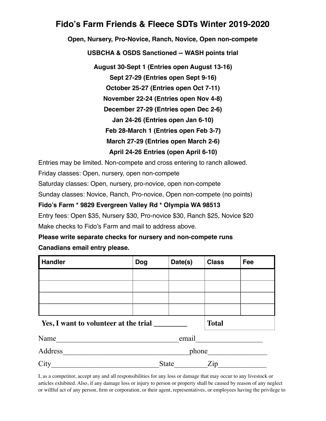## **Fido's Farm Friends & Fleece SDTs Winter 2019-2020**

**Open, Nursery, Pro-Novice, Ranch, Novice, Open non-compete**

**USBCHA & OSDS Sanctioned -- WASH points trial**

**August 30-Sept 1 (Entries open August 13-16)**

**Sept 27-29 (Entries open Sept 9-16)**

**October 25-27 (Entries open Oct 7-11)**

**November 22-24 (Entries open Nov 4-8)**

**December 27-29 (Entries open Dec 2-6)** 

**Jan 24-26 (Entries open Jan 6-10)**

**Feb 28-March 1 (Entries open Feb 3-7)**

**March 27-29 (Entries open March 2-6)**

**April 24-26 Entries (open April 6-10)**

Entries may be limited. Non-compete and cross entering to ranch allowed.

Friday classes: Open, nursery, open non-compete

Saturday classes: Open, nursery, pro-novice, open non-compete

Sunday classes: Novice, Ranch, Pro-novice, Open non-compete (no points)

**Fido's Farm \* 9829 Evergreen Valley Rd \* Olympia WA 98513**

Entry fees: Open \$35, Nursery \$30, Pro-novice \$30, Ranch \$25, Novice \$20 Make checks to Fido's Farm and mail to address above.

## **Please write separate checks for nursery and non-compete runs Canadians email entry please.**

| <b>Handler</b>                        | <b>Dog</b>                        | Date(s) | <b>Class</b> | Fee |
|---------------------------------------|-----------------------------------|---------|--------------|-----|
|                                       |                                   |         |              |     |
|                                       |                                   |         |              |     |
|                                       |                                   |         |              |     |
|                                       |                                   |         |              |     |
| Yes, I want to volunteer at the trial |                                   |         | <b>Total</b> |     |
| Name                                  | email                             |         |              |     |
| Address                               | phone                             |         |              |     |
| City                                  | <b>State</b><br>$\overline{Z}$ ip |         |              |     |

I, as a competitor, accept any and all responsibilities for any loss or damage that may occur to any livestock or articles exhibited. Also, if any damage loss or injury to person or property shall be caused by reason of any neglect or willful act of any person, firm or corporation, or their agent, representatives, or employees having the privilege to